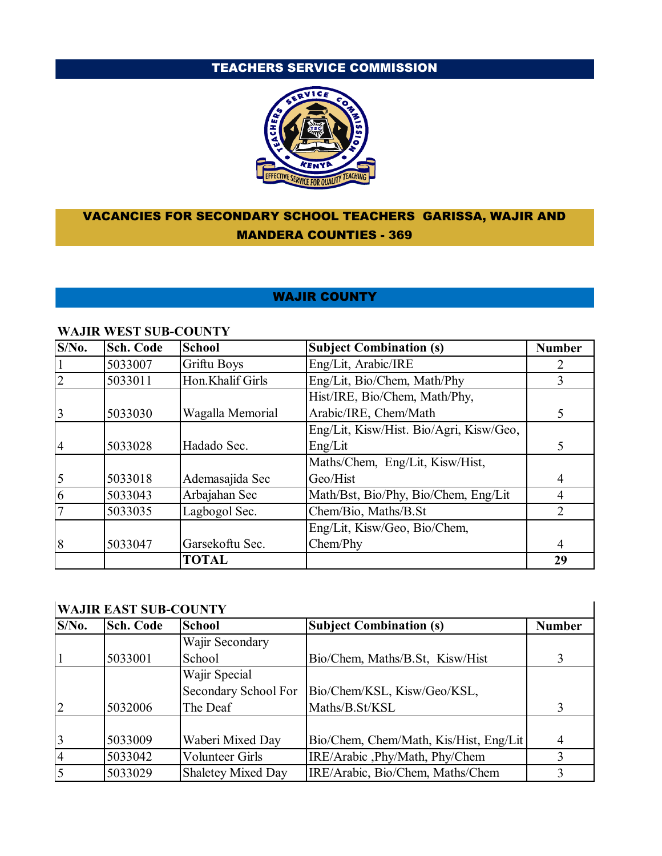# TEACHERS SERVICE COMMISSION



## VACANCIES FOR SECONDARY SCHOOL TEACHERS GARISSA, WAJIR AND MANDERA COUNTIES - 369

### WAJIR COUNTY

| $S/N0$ .       | <b>Sch. Code</b> | <b>School</b>    | <b>Subject Combination (s)</b>          | <b>Number</b> |
|----------------|------------------|------------------|-----------------------------------------|---------------|
|                | 5033007          | Griftu Boys      | Eng/Lit, Arabic/IRE                     |               |
| $\overline{2}$ | 5033011          | Hon.Khalif Girls | Eng/Lit, Bio/Chem, Math/Phy             | 3             |
|                |                  |                  | Hist/IRE, Bio/Chem, Math/Phy,           |               |
| 3              | 5033030          | Wagalla Memorial | Arabic/IRE, Chem/Math                   |               |
|                |                  |                  | Eng/Lit, Kisw/Hist. Bio/Agri, Kisw/Geo, |               |
| $\overline{4}$ | 5033028          | Hadado Sec.      | Eng/Lit                                 |               |
|                |                  |                  | Maths/Chem, Eng/Lit, Kisw/Hist,         |               |
| $\mathfrak{S}$ | 5033018          | Ademasajida Sec  | Geo/Hist                                | 4             |
| 6              | 5033043          | Arbajahan Sec    | Math/Bst, Bio/Phy, Bio/Chem, Eng/Lit    |               |
| $\overline{7}$ | 5033035          | Lagbogol Sec.    | Chem/Bio, Maths/B.St                    |               |
|                |                  |                  | Eng/Lit, Kisw/Geo, Bio/Chem,            |               |
| 8              | 5033047          | Garsekoftu Sec.  | Chem/Phy                                |               |
|                |                  | <b>TOTAL</b>     |                                         | 29            |

#### **WAJIR WEST SUB-COUNTY**

## **WAJIR EAST SUB-COUNTY**

| $S/N0$ .       | <b>Sch. Code</b> | <b>School</b>          | <b>Subject Combination (s)</b>         | <b>Number</b> |
|----------------|------------------|------------------------|----------------------------------------|---------------|
|                |                  | Wajir Secondary        |                                        |               |
|                | 5033001          | School                 | Bio/Chem, Maths/B.St, Kisw/Hist        |               |
|                |                  | Wajir Special          |                                        |               |
|                |                  | Secondary School For   | Bio/Chem/KSL, Kisw/Geo/KSL,            |               |
| $\overline{2}$ | 5032006          | The Deaf               | Maths/B.St/KSL                         |               |
|                |                  |                        |                                        |               |
| $\overline{3}$ | 5033009          | Waberi Mixed Day       | Bio/Chem, Chem/Math, Kis/Hist, Eng/Lit | 4             |
| $\overline{4}$ | 5033042          | <b>Volunteer Girls</b> | IRE/Arabic , Phy/Math, Phy/Chem        |               |
| $\overline{5}$ | 5033029          | Shaletey Mixed Day     | IRE/Arabic, Bio/Chem, Maths/Chem       |               |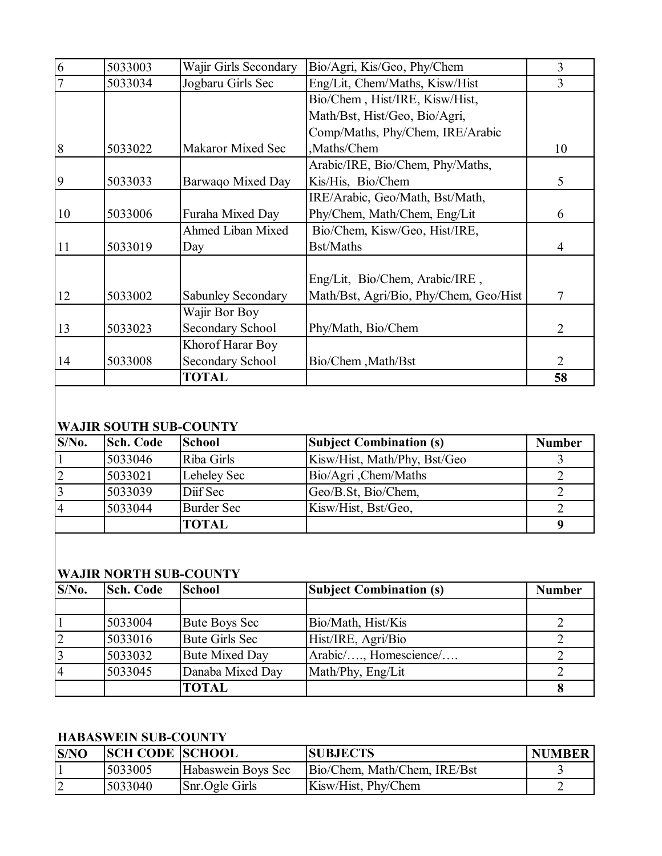|                |         | <b>TOTAL</b>             |                                        | 58 |
|----------------|---------|--------------------------|----------------------------------------|----|
| 14             | 5033008 | Secondary School         | Bio/Chem, Math/Bst                     | 2  |
|                |         | Khorof Harar Boy         |                                        |    |
| 13             | 5033023 | Secondary School         | Phy/Math, Bio/Chem                     | 2  |
|                |         | Wajir Bor Boy            |                                        |    |
| 12             | 5033002 | Sabunley Secondary       | Math/Bst, Agri/Bio, Phy/Chem, Geo/Hist | 7  |
|                |         |                          | Eng/Lit, Bio/Chem, Arabic/IRE,         |    |
| 11             | 5033019 | Day                      | <b>Bst/Maths</b>                       | 4  |
|                |         | Ahmed Liban Mixed        | Bio/Chem, Kisw/Geo, Hist/IRE,          |    |
| 10             | 5033006 | Furaha Mixed Day         | Phy/Chem, Math/Chem, Eng/Lit           | 6  |
|                |         |                          | IRE/Arabic, Geo/Math, Bst/Math,        |    |
| 9              | 5033033 | Barwaqo Mixed Day        | Kis/His, Bio/Chem                      | 5  |
|                |         |                          | Arabic/IRE, Bio/Chem, Phy/Maths,       |    |
| 8              | 5033022 | <b>Makaror Mixed Sec</b> | ,Maths/Chem                            | 10 |
|                |         |                          | Comp/Maths, Phy/Chem, IRE/Arabic       |    |
|                |         |                          | Math/Bst, Hist/Geo, Bio/Agri,          |    |
|                |         |                          | Bio/Chem, Hist/IRE, Kisw/Hist,         |    |
| $\overline{7}$ | 5033034 | Jogbaru Girls Sec        | Eng/Lit, Chem/Maths, Kisw/Hist         | 3  |
| 6              | 5033003 | Wajir Girls Secondary    | Bio/Agri, Kis/Geo, Phy/Chem            | 3  |

## **WAJIR SOUTH SUB-COUNTY**

| $S/N0$ .       | <b>Sch. Code</b> | <b>School</b>     | <b>Subject Combination (s)</b> | <b>Number</b> |
|----------------|------------------|-------------------|--------------------------------|---------------|
|                | 5033046          | Riba Girls        | Kisw/Hist, Math/Phy, Bst/Geo   |               |
| $\overline{2}$ | 5033021          | Leheley Sec       | Bio/Agri, Chem/Maths           |               |
| $\overline{3}$ | 5033039          | Diff Sec          | Geo/B.St, Bio/Chem,            |               |
| $\overline{4}$ | 5033044          | <b>Burder Sec</b> | Kisw/Hist, Bst/Geo,            |               |
|                |                  | <b>TOTAL</b>      |                                |               |

## **WAJIR NORTH SUB-COUNTY**

| $S/N0$ . | Sch. Code | <b>School</b>         | <b>Subject Combination (s)</b> | <b>Number</b> |
|----------|-----------|-----------------------|--------------------------------|---------------|
|          |           |                       |                                |               |
|          | 5033004   | <b>Bute Boys Sec</b>  | Bio/Math, Hist/Kis             |               |
|          | 5033016   | <b>Bute Girls Sec</b> | Hist/IRE, Agri/Bio             |               |
|          | 5033032   | <b>Bute Mixed Day</b> | Arabic/, Homescience/          |               |
|          | 5033045   | Danaba Mixed Day      | Math/Phy, Eng/Lit              |               |
|          |           | <b>TOTAL</b>          |                                |               |

## **HABASWEIN SUB-COUNTY**

| S/NO | <b>SCH CODE SCHOOL</b> |                    | <b>SUBJECTS</b>              | <b>NUMBER</b> |
|------|------------------------|--------------------|------------------------------|---------------|
|      | 5033005                | Habaswein Boys Sec | Bio/Chem, Math/Chem, IRE/Bst |               |
|      | 5033040                | Snr.Ogle Girls     | Kisw/Hist, Phy/Chem          |               |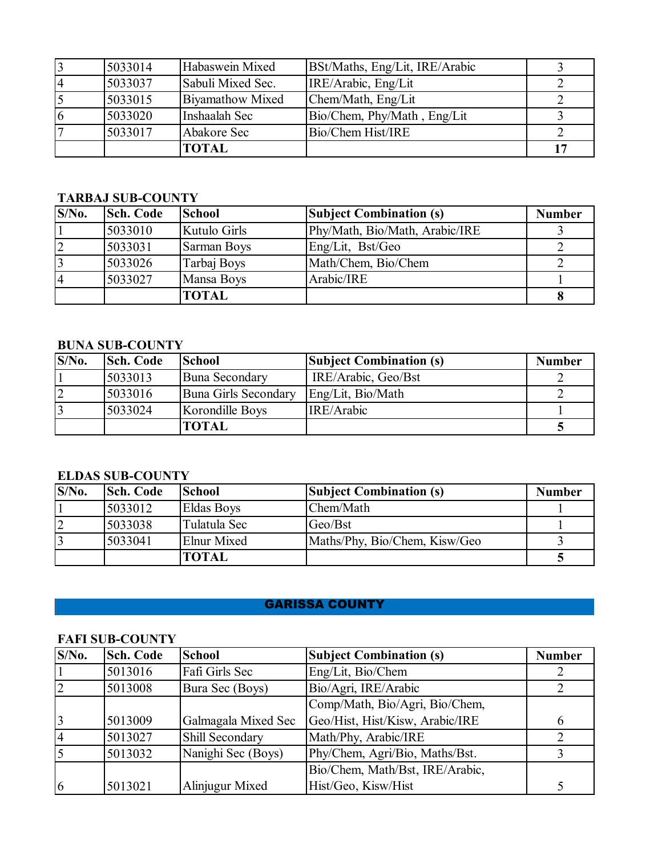| 3              | 5033014 | Habaswein Mixed   | BSt/Maths, Eng/Lit, IRE/Arabic |  |
|----------------|---------|-------------------|--------------------------------|--|
| $\overline{4}$ | 5033037 | Sabuli Mixed Sec. | IRE/Arabic, Eng/Lit            |  |
| 5              | 5033015 | Biyamathow Mixed  | Chem/Math, Eng/Lit             |  |
| 6              | 5033020 | Inshaalah Sec     | Bio/Chem, Phy/Math, Eng/Lit    |  |
| $\overline{7}$ | 5033017 | Abakore Sec       | Bio/Chem Hist/IRE              |  |
|                |         | <b>TOTAL</b>      |                                |  |

### **TARBAJ SUB-COUNTY**

| $S/N0$ .  | <b>Sch. Code</b> | <b>School</b> | <b>Subject Combination (s)</b> | <b>Number</b> |
|-----------|------------------|---------------|--------------------------------|---------------|
|           | 5033010          | Kutulo Girls  | Phy/Math, Bio/Math, Arabic/IRE |               |
| 2         | 5033031          | Sarman Boys   | Eng/Lit, Bst/Geo               |               |
| $\vert$ 3 | 5033026          | Tarbaj Boys   | Math/Chem, Bio/Chem            |               |
| $\vert 4$ | 5033027          | Mansa Boys    | Arabic/IRE                     |               |
|           |                  | <b>TOTAL</b>  |                                |               |

## **BUNA SUB-COUNTY**

| $S/N0$ . | <b>Sch. Code</b> | <b>School</b>         | <b>Subject Combination (s)</b> | <b>Number</b> |
|----------|------------------|-----------------------|--------------------------------|---------------|
|          | 5033013          | <b>Buna Secondary</b> | IRE/Arabic, Geo/Bst            |               |
| 2        | 5033016          | Buna Girls Secondary  | Eng/Lit, Bio/Math              |               |
| 3        | 5033024          | Korondille Boys       | IRE/Arabic                     |               |
|          |                  | <b>TOTAL</b>          |                                |               |

#### **ELDAS SUB-COUNTY**

| $S/N0$ .       | <b>Sch. Code</b> | <b>School</b>     | <b>Subject Combination (s)</b> | <b>Number</b> |
|----------------|------------------|-------------------|--------------------------------|---------------|
|                | 5033012          | <b>Eldas Boys</b> | Chem/Math                      |               |
| $\overline{2}$ | 5033038          | Tulatula Sec      | Geo/Bst                        |               |
|                | 5033041          | Elnur Mixed       | Maths/Phy, Bio/Chem, Kisw/Geo  |               |
|                |                  | <b>TOTAL</b>      |                                |               |

### GARISSA COUNTY

## **FAFI SUB-COUNTY**

| $S/N0$ .       | <b>Sch. Code</b> | <b>School</b>       | <b>Subject Combination (s)</b>  | <b>Number</b> |
|----------------|------------------|---------------------|---------------------------------|---------------|
|                | 5013016          | Fafi Girls Sec      | Eng/Lit, Bio/Chem               |               |
| 2              | 5013008          | Bura Sec (Boys)     | Bio/Agri, IRE/Arabic            |               |
|                |                  |                     | Comp/Math, Bio/Agri, Bio/Chem,  |               |
| 3              | 5013009          | Galmagala Mixed Sec | Geo/Hist, Hist/Kisw, Arabic/IRE | 6             |
| $\overline{4}$ | 5013027          | Shill Secondary     | Math/Phy, Arabic/IRE            |               |
| $\overline{5}$ | 5013032          | Nanighi Sec (Boys)  | Phy/Chem, Agri/Bio, Maths/Bst.  |               |
|                |                  |                     | Bio/Chem, Math/Bst, IRE/Arabic, |               |
| 16             | 5013021          | Alinjugur Mixed     | Hist/Geo, Kisw/Hist             |               |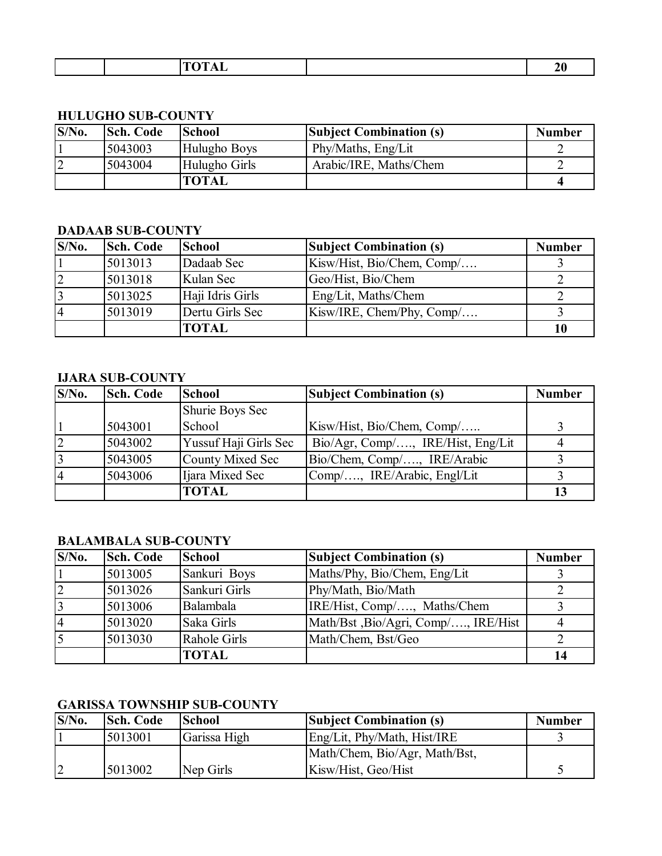| $\sim$ $\sim$ $\sim$<br><b>TYZE</b> |  |
|-------------------------------------|--|
|                                     |  |

┓

#### **HULUGHO SUB-COUNTY**

| $S/N0$ .       | <b>Sch. Code</b> | <b>School</b> | <b>Subject Combination (s)</b> | <b>Number</b> |
|----------------|------------------|---------------|--------------------------------|---------------|
|                | 5043003          | Hulugho Boys  | Phy/Maths, Eng/Lit             |               |
| $\overline{2}$ | 5043004          | Hulugho Girls | Arabic/IRE, Maths/Chem         |               |
|                |                  | <b>TOTAL</b>  |                                |               |

## **DADAAB SUB-COUNTY**

| $S/N0$ .       | <b>Sch. Code</b> | <b>School</b>    | <b>Subject Combination (s)</b> | <b>Number</b> |
|----------------|------------------|------------------|--------------------------------|---------------|
|                | 5013013          | Dadaab Sec       | Kisw/Hist, Bio/Chem, Comp/     |               |
| 2              | 5013018          | Kulan Sec        | Geo/Hist, Bio/Chem             |               |
| 3              | 5013025          | Haji Idris Girls | Eng/Lit, Maths/Chem            |               |
| $\overline{4}$ | 5013019          | Dertu Girls Sec  | $Kisw/IRE$ , Chem/Phy, Comp/   |               |
|                |                  | <b>TOTAL</b>     |                                | 10            |

## **IJARA SUB-COUNTY**

| $S/N0$ .       | Sch. Code | <b>School</b>         | <b>Subject Combination (s)</b>    | <b>Number</b> |
|----------------|-----------|-----------------------|-----------------------------------|---------------|
|                |           | Shurie Boys Sec       |                                   |               |
|                | 5043001   | School                | Kisw/Hist, Bio/Chem, Comp/        |               |
| $\vert$ 2      | 5043002   | Yussuf Haji Girls Sec | Bio/Agr, Comp/, IRE/Hist, Eng/Lit | 4             |
| $\vert$ 3      | 5043005   | County Mixed Sec      | Bio/Chem, Comp/, IRE/Arabic       |               |
| $\overline{4}$ | 5043006   | Ijara Mixed Sec       | Comp/, IRE/Arabic, Engl/Lit       |               |
|                |           | <b>TOTAL</b>          |                                   | 13            |

### **BALAMBALA SUB-COUNTY**

| $S/N0$ .       | Sch. Code | <b>School</b> | <b>Subject Combination (s)</b>      | <b>Number</b> |
|----------------|-----------|---------------|-------------------------------------|---------------|
| $\vert$ 1      | 5013005   | Sankuri Boys  | Maths/Phy, Bio/Chem, Eng/Lit        |               |
| $\overline{2}$ | 5013026   | Sankuri Girls | Phy/Math, Bio/Math                  |               |
| $\overline{3}$ | 5013006   | Balambala     | IRE/Hist, Comp/, Maths/Chem         |               |
| $\overline{4}$ | 5013020   | Saka Girls    | Math/Bst, Bio/Agri, Comp/, IRE/Hist |               |
| $\overline{5}$ | 5013030   | Rahole Girls  | Math/Chem, Bst/Geo                  |               |
|                |           | <b>TOTAL</b>  |                                     | 14            |

## **GARISSA TOWNSHIP SUB-COUNTY**

| $S/N0$ . | <b>Sch. Code</b> | <b>School</b> | <b>Subject Combination (s)</b> | <b>Number</b> |
|----------|------------------|---------------|--------------------------------|---------------|
|          | 5013001          | Garissa High  | Eng/Lit, Phy/Math, Hist/IRE    |               |
|          |                  |               | Math/Chem, Bio/Agr, Math/Bst,  |               |
| 12       | 5013002          | Nep Girls     | Kisw/Hist, Geo/Hist            |               |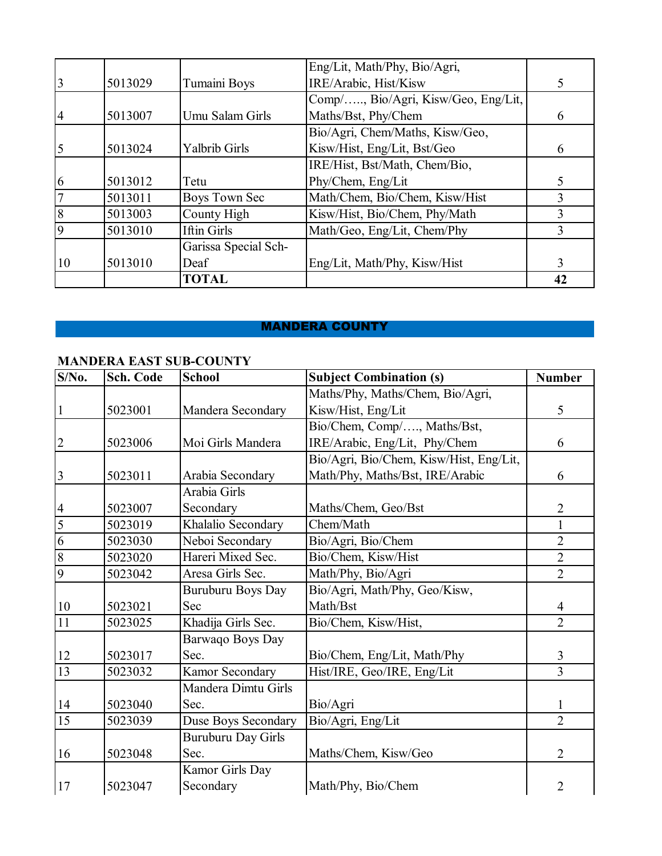|                |         |                      | Eng/Lit, Math/Phy, Bio/Agri,        |    |
|----------------|---------|----------------------|-------------------------------------|----|
| 3              | 5013029 | Tumaini Boys         | IRE/Arabic, Hist/Kisw               |    |
|                |         |                      | Comp/, Bio/Agri, Kisw/Geo, Eng/Lit, |    |
| $\overline{4}$ | 5013007 | Umu Salam Girls      | Maths/Bst, Phy/Chem                 | 6  |
|                |         |                      | Bio/Agri, Chem/Maths, Kisw/Geo,     |    |
| 5              | 5013024 | Yalbrib Girls        | Kisw/Hist, Eng/Lit, Bst/Geo         | 6  |
|                |         |                      | IRE/Hist, Bst/Math, Chem/Bio,       |    |
| 6              | 5013012 | Tetu                 | Phy/Chem, Eng/Lit                   | 5  |
|                | 5013011 | Boys Town Sec        | Math/Chem, Bio/Chem, Kisw/Hist      |    |
| 8              | 5013003 | County High          | Kisw/Hist, Bio/Chem, Phy/Math       | 3  |
| $\mathbf Q$    | 5013010 | Iftin Girls          | Math/Geo, Eng/Lit, Chem/Phy         | 3  |
|                |         | Garissa Special Sch- |                                     |    |
| 10             | 5013010 | Deaf                 | Eng/Lit, Math/Phy, Kisw/Hist        | 3  |
|                |         | <b>TOTAL</b>         |                                     | 42 |

## MANDERA COUNTY

## **MANDERA EAST SUB-COUNTY**

| $S/N0$ .       | Sch. Code | <b>School</b>             | <b>Subject Combination (s)</b>          | <b>Number</b>  |
|----------------|-----------|---------------------------|-----------------------------------------|----------------|
|                |           |                           | Maths/Phy, Maths/Chem, Bio/Agri,        |                |
|                | 5023001   | Mandera Secondary         | Kisw/Hist, Eng/Lit                      | 5              |
|                |           |                           | Bio/Chem, Comp/, Maths/Bst,             |                |
| $\overline{2}$ | 5023006   | Moi Girls Mandera         | IRE/Arabic, Eng/Lit, Phy/Chem           | 6              |
|                |           |                           | Bio/Agri, Bio/Chem, Kisw/Hist, Eng/Lit, |                |
| 3              | 5023011   | Arabia Secondary          | Math/Phy, Maths/Bst, IRE/Arabic         | 6              |
|                |           | Arabia Girls              |                                         |                |
| $\overline{4}$ | 5023007   | Secondary                 | Maths/Chem, Geo/Bst                     | $\overline{2}$ |
| 5              | 5023019   | Khalalio Secondary        | Chem/Math                               | $\mathbf{1}$   |
| 6              | 5023030   | Neboi Secondary           | Bio/Agri, Bio/Chem                      | $\overline{2}$ |
| $\overline{8}$ | 5023020   | Hareri Mixed Sec.         | Bio/Chem, Kisw/Hist                     | $\overline{2}$ |
| 9              | 5023042   | Aresa Girls Sec.          | Math/Phy, Bio/Agri                      | $\overline{2}$ |
|                |           | Buruburu Boys Day         | Bio/Agri, Math/Phy, Geo/Kisw,           |                |
| 10             | 5023021   | Sec                       | Math/Bst                                | $\overline{4}$ |
| 11             | 5023025   | Khadija Girls Sec.        | Bio/Chem, Kisw/Hist,                    | $\overline{2}$ |
|                |           | Barwaqo Boys Day          |                                         |                |
| 12             | 5023017   | Sec.                      | Bio/Chem, Eng/Lit, Math/Phy             | 3              |
| 13             | 5023032   | Kamor Secondary           | Hist/IRE, Geo/IRE, Eng/Lit              | $\overline{3}$ |
|                |           | Mandera Dimtu Girls       |                                         |                |
| 14             | 5023040   | Sec.                      | Bio/Agri                                | 1              |
| 15             | 5023039   | Duse Boys Secondary       | Bio/Agri, Eng/Lit                       | $\overline{2}$ |
|                |           | <b>Buruburu Day Girls</b> |                                         |                |
| 16             | 5023048   | Sec.                      | Maths/Chem, Kisw/Geo                    | $\overline{2}$ |
|                |           | Kamor Girls Day           |                                         |                |
| 17             | 5023047   | Secondary                 | Math/Phy, Bio/Chem                      | 2              |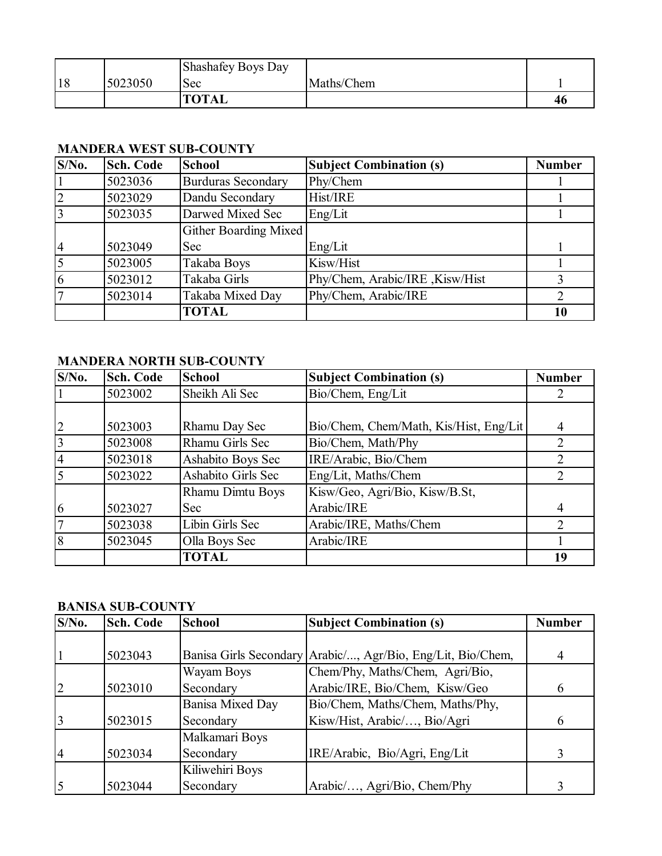|    |         | Shashafey Boys Day |            |    |
|----|---------|--------------------|------------|----|
| 18 | 5023050 | Sec                | Maths/Chem |    |
|    |         | <b>TOTAL</b>       |            | 46 |

## **MANDERA WEST SUB-COUNTY**

| $S/N0$ .       | <b>Sch. Code</b> | <b>School</b>                | <b>Subject Combination (s)</b>  | <b>Number</b> |
|----------------|------------------|------------------------------|---------------------------------|---------------|
|                | 5023036          | <b>Burduras Secondary</b>    | Phy/Chem                        |               |
| 2              | 5023029          | Dandu Secondary              | Hist/IRE                        |               |
| $\overline{3}$ | 5023035          | Darwed Mixed Sec             | Eng/Lit                         |               |
|                |                  | <b>Gither Boarding Mixed</b> |                                 |               |
| $\overline{4}$ | 5023049          | Sec                          | Eng/Lit                         |               |
| $\overline{5}$ | 5023005          | Takaba Boys                  | Kisw/Hist                       |               |
| 6              | 5023012          | Takaba Girls                 | Phy/Chem, Arabic/IRE, Kisw/Hist |               |
| $\overline{7}$ | 5023014          | Takaba Mixed Day             | Phy/Chem, Arabic/IRE            |               |
|                |                  | <b>TOTAL</b>                 |                                 | 10            |

## **MANDERA NORTH SUB-COUNTY**

| $S/N0$ .        | <b>Sch. Code</b> | <b>School</b>      | <b>Subject Combination (s)</b>         | <b>Number</b>  |
|-----------------|------------------|--------------------|----------------------------------------|----------------|
|                 | 5023002          | Sheikh Ali Sec     | Bio/Chem, Eng/Lit                      |                |
|                 |                  |                    |                                        |                |
| $ 2\rangle$     | 5023003          | Rhamu Day Sec      | Bio/Chem, Chem/Math, Kis/Hist, Eng/Lit | 4              |
| $\overline{3}$  | 5023008          | Rhamu Girls Sec    | Bio/Chem, Math/Phy                     | 2              |
| $\overline{4}$  | 5023018          | Ashabito Boys Sec  | IRE/Arabic, Bio/Chem                   | 2              |
| $\overline{5}$  | 5023022          | Ashabito Girls Sec | Eng/Lit, Maths/Chem                    | 2              |
|                 |                  | Rhamu Dimtu Boys   | Kisw/Geo, Agri/Bio, Kisw/B.St,         |                |
| 6               | 5023027          | Sec                | Arabic/IRE                             | $\overline{4}$ |
| $7\phantom{.0}$ | 5023038          | Libin Girls Sec    | Arabic/IRE, Maths/Chem                 | $\overline{2}$ |
| 8               | 5023045          | Olla Boys Sec      | Arabic/IRE                             |                |
|                 |                  | <b>TOTAL</b>       |                                        | 19             |

## **BANISA SUB-COUNTY**

| $S/N0$ .       | Sch. Code | <b>School</b>           | <b>Subject Combination (s)</b>                              | <b>Number</b> |
|----------------|-----------|-------------------------|-------------------------------------------------------------|---------------|
|                |           |                         |                                                             |               |
|                | 5023043   |                         | Banisa Girls Secondary Arabic/, Agr/Bio, Eng/Lit, Bio/Chem, |               |
|                |           | Wayam Boys              | Chem/Phy, Maths/Chem, Agri/Bio,                             |               |
|                | 5023010   | Secondary               | Arabic/IRE, Bio/Chem, Kisw/Geo                              | 6             |
|                |           | <b>Banisa Mixed Day</b> | Bio/Chem, Maths/Chem, Maths/Phy,                            |               |
|                | 5023015   | Secondary               | Kisw/Hist, Arabic/, Bio/Agri                                | 6             |
|                |           | Malkamari Boys          |                                                             |               |
| $\overline{4}$ | 5023034   | Secondary               | IRE/Arabic, Bio/Agri, Eng/Lit                               |               |
|                |           | Kiliwehiri Boys         |                                                             |               |
|                | 5023044   | Secondary               | Arabic/, Agri/Bio, Chem/Phy                                 |               |